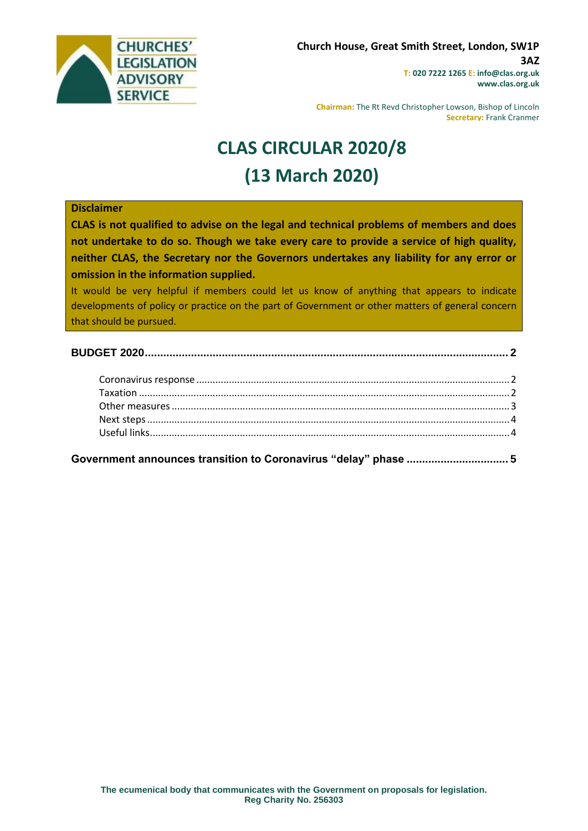

**Chairman:** The Rt Revd Christopher Lowson, Bishop of Lincoln **Secretary:** Frank Cranmer

# **CLAS CIRCULAR 2020/8 (13 March 2020)**

#### **Disclaimer**

**CLAS is not qualified to advise on the legal and technical problems of members and does not undertake to do so. Though we take every care to provide a service of high quality, neither CLAS, the Secretary nor the Governors undertakes any liability for any error or omission in the information supplied.**

It would be very helpful if members could let us know of anything that appears to indicate developments of policy or practice on the part of Government or other matters of general concern that should be pursued.

**[Government announces transition to Coronavirus "delay" phase](#page-4-0) ................................. 5**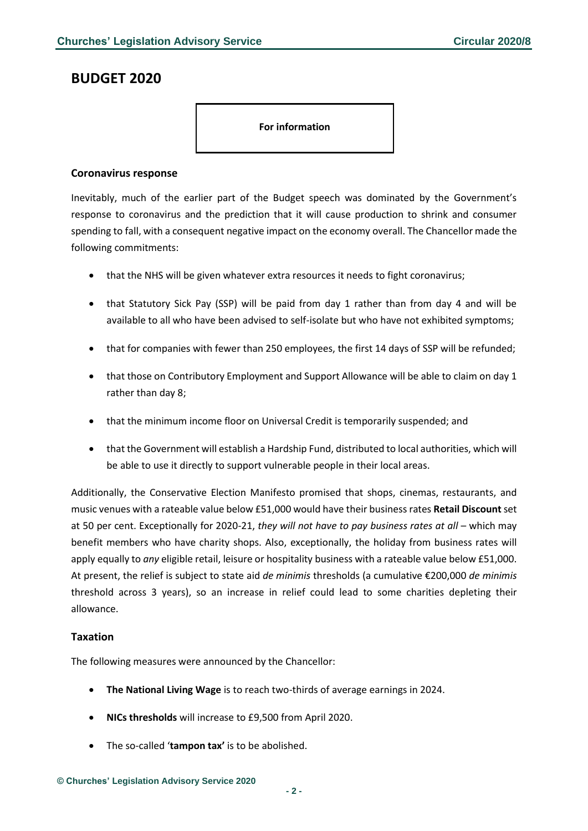# <span id="page-1-0"></span>**BUDGET 2020**

#### **For information**

## <span id="page-1-1"></span>**Coronavirus response**

Inevitably, much of the earlier part of the Budget speech was dominated by the Government's response to coronavirus and the prediction that it will cause production to shrink and consumer spending to fall, with a consequent negative impact on the economy overall. The Chancellor made the following commitments:

- that the NHS will be given whatever extra resources it needs to fight coronavirus;
- that Statutory Sick Pay (SSP) will be paid from day 1 rather than from day 4 and will be available to all who have been advised to self-isolate but who have not exhibited symptoms;
- that for companies with fewer than 250 employees, the first 14 days of SSP will be refunded;
- that those on Contributory Employment and Support Allowance will be able to claim on day 1 rather than day 8;
- that the minimum income floor on Universal Credit is temporarily suspended; and
- that the Government will establish a Hardship Fund, distributed to local authorities, which will be able to use it directly to support vulnerable people in their local areas.

Additionally, the Conservative Election Manifesto promised that shops, cinemas, restaurants, and music venues with a rateable value below £51,000 would have their business rates **Retail Discount** set at 50 per cent. Exceptionally for 2020-21, *they will not have to pay business rates at all* – which may benefit members who have charity shops. Also, exceptionally, the holiday from business rates will apply equally to *any* eligible retail, leisure or hospitality business with a rateable value below £51,000. At present, the relief is subject to state aid *de minimis* thresholds (a cumulative €200,000 *de minimis* threshold across 3 years), so an increase in relief could lead to some charities depleting their allowance.

#### <span id="page-1-2"></span>**Taxation**

The following measures were announced by the Chancellor:

- **The National Living Wage** is to reach two-thirds of average earnings in 2024.
- **NICs thresholds** will increase to £9,500 from April 2020.
- The so-called '**tampon tax'** is to be abolished.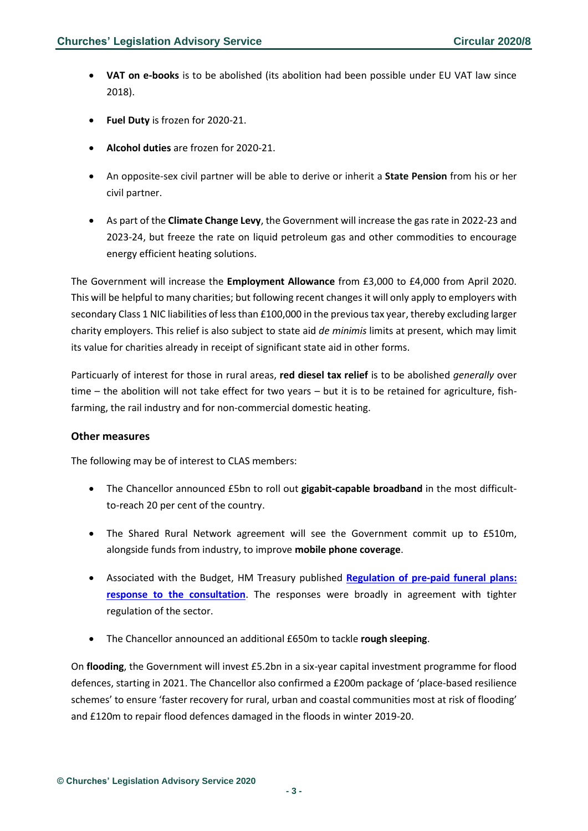- **VAT on e-books** is to be abolished (its abolition had been possible under EU VAT law since 2018).
- **Fuel Duty** is frozen for 2020-21.
- **Alcohol duties** are frozen for 2020-21.
- An opposite-sex civil partner will be able to derive or inherit a **State Pension** from his or her civil partner.
- As part of the **Climate Change Levy**, the Government will increase the gas rate in 2022-23 and 2023-24, but freeze the rate on liquid petroleum gas and other commodities to encourage energy efficient heating solutions.

The Government will increase the **Employment Allowance** from £3,000 to £4,000 from April 2020. This will be helpful to many charities; but following recent changes it will only apply to employers with secondary Class 1 NIC liabilities of less than £100,000 in the previous tax year, thereby excluding larger charity employers. This relief is also subject to state aid *de minimis* limits at present, which may limit its value for charities already in receipt of significant state aid in other forms.

Particuarly of interest for those in rural areas, **red diesel tax relief** is to be abolished *generally* over time – the abolition will not take effect for two years – but it is to be retained for agriculture, fishfarming, the rail industry and for non-commercial domestic heating.

## <span id="page-2-0"></span>**Other measures**

The following may be of interest to CLAS members:

- The Chancellor announced £5bn to roll out **gigabit-capable broadband** in the most difficultto-reach 20 per cent of the country.
- The Shared Rural Network agreement will see the Government commit up to £510m, alongside funds from industry, to improve **mobile phone coverage**.
- Associated with the Budget, HM Treasury published **[Regulation of pre-paid funeral plans:](https://assets.publishing.service.gov.uk/government/uploads/system/uploads/attachment_data/file/871535/Funeral_Plans_Consultation_Response_.pdf)  [response to the consultation](https://assets.publishing.service.gov.uk/government/uploads/system/uploads/attachment_data/file/871535/Funeral_Plans_Consultation_Response_.pdf)**. The responses were broadly in agreement with tighter regulation of the sector.
- The Chancellor announced an additional £650m to tackle **rough sleeping**.

On **flooding**, the Government will invest £5.2bn in a six-year capital investment programme for flood defences, starting in 2021. The Chancellor also confirmed a £200m package of 'place-based resilience schemes' to ensure 'faster recovery for rural, urban and coastal communities most at risk of flooding' and £120m to repair flood defences damaged in the floods in winter 2019-20.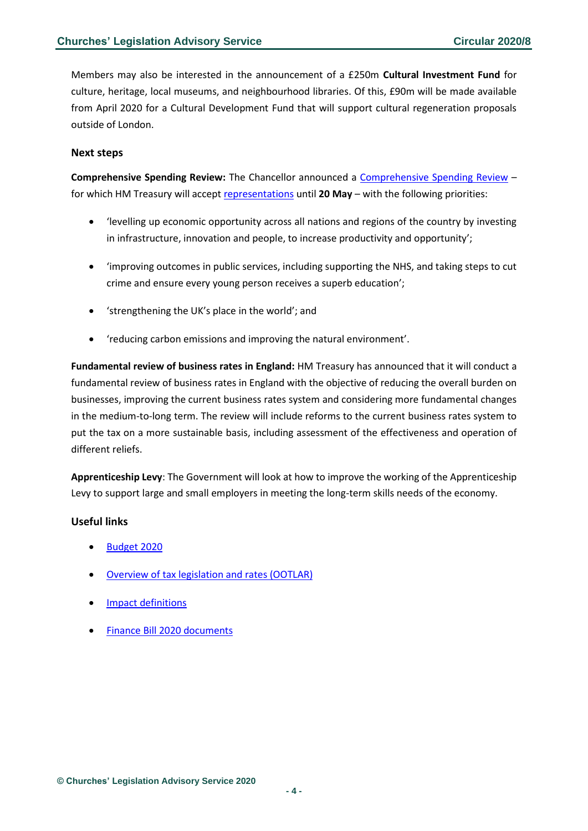Members may also be interested in the announcement of a £250m **Cultural Investment Fund** for culture, heritage, local museums, and neighbourhood libraries. Of this, £90m will be made available from April 2020 for a Cultural Development Fund that will support cultural regeneration proposals outside of London.

#### <span id="page-3-0"></span>**Next steps**

**Comprehensive Spending Review:** The Chancellor announced a [Comprehensive Spending Review](https://www.gov.uk/government/publications/comprehensive-spending-review-2020-representations-guidance/comprehensive-spending-review-2020-representations-guidance) – for which HM Treasury will accep[t representations](https://www.smartsurvey.co.uk/s/J5ZC01/) until **20 May** – with the following priorities:

- 'levelling up economic opportunity across all nations and regions of the country by investing in infrastructure, innovation and people, to increase productivity and opportunity';
- 'improving outcomes in public services, including supporting the NHS, and taking steps to cut crime and ensure every young person receives a superb education';
- 'strengthening the UK's place in the world'; and
- 'reducing carbon emissions and improving the natural environment'.

**Fundamental review of business rates in England:** HM Treasury has announced that it will conduct a fundamental review of business rates in England with the objective of reducing the overall burden on businesses, improving the current business rates system and considering more fundamental changes in the medium-to-long term. The review will include reforms to the current business rates system to put the tax on a more sustainable basis, including assessment of the effectiveness and operation of different reliefs.

**Apprenticeship Levy**: The Government will look at how to improve the working of the Apprenticeship Levy to support large and small employers in meeting the long-term skills needs of the economy.

## <span id="page-3-1"></span>**Useful links**

- [Budget 2020](https://www.gov.uk/government/topical-events/budget-2020)
- [Overview of tax legislation and rates \(OOTLAR\)](https://www.gov.uk/government/publications/budget-2020-overview-of-tax-legislation-and-rates-ootlar)
- [Impact definitions](https://www.gov.uk/government/publications/impact-definitions-for-budget-2020-tax-information-and-impact-notes)
- [Finance Bill 2020 documents](https://www.gov.uk/government/collections/finance-bill-2020)